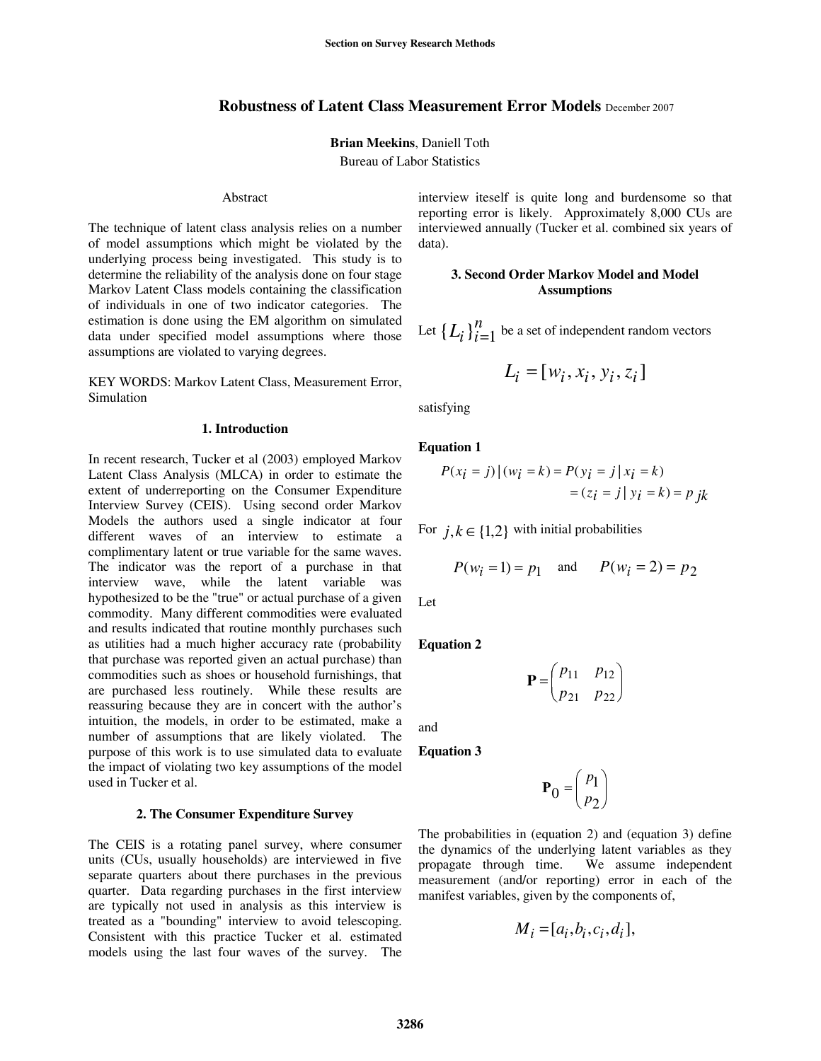## **Robustness of Latent Class Measurement Error Models** December 2007

**Brian Meekins**, Daniell Toth

Bureau of Labor Statistics

### Abstract

The technique of latent class analysis relies on a number of model assumptions which might be violated by the underlying process being investigated. This study is to determine the reliability of the analysis done on four stage Markov Latent Class models containing the classification of individuals in one of two indicator categories. The estimation is done using the EM algorithm on simulated data under specified model assumptions where those assumptions are violated to varying degrees.

KEY WORDS: Markov Latent Class, Measurement Error, Simulation

### **1. Introduction**

In recent research, Tucker et al (2003) employed Markov Latent Class Analysis (MLCA) in order to estimate the extent of underreporting on the Consumer Expenditure Interview Survey (CEIS). Using second order Markov Models the authors used a single indicator at four different waves of an interview to estimate a complimentary latent or true variable for the same waves. The indicator was the report of a purchase in that interview wave, while the latent variable was hypothesized to be the "true" or actual purchase of a given commodity. Many different commodities were evaluated and results indicated that routine monthly purchases such as utilities had a much higher accuracy rate (probability that purchase was reported given an actual purchase) than commodities such as shoes or household furnishings, that are purchased less routinely. While these results are reassuring because they are in concert with the author's intuition, the models, in order to be estimated, make a number of assumptions that are likely violated. The purpose of this work is to use simulated data to evaluate the impact of violating two key assumptions of the model used in Tucker et al.

### **2. The Consumer Expenditure Survey**

The CEIS is a rotating panel survey, where consumer units (CUs, usually households) are interviewed in five separate quarters about there purchases in the previous quarter. Data regarding purchases in the first interview are typically not used in analysis as this interview is treated as a "bounding" interview to avoid telescoping. Consistent with this practice Tucker et al. estimated models using the last four waves of the survey. The

interview iteself is quite long and burdensome so that reporting error is likely. Approximately 8,000 CUs are interviewed annually (Tucker et al. combined six years of data).

### **3. Second Order Markov Model and Model Assumptions**

Let  $\{L_i\}_{i=1}^n$  be a set of independent random vectors

$$
L_i = [w_i, x_i, y_i, z_i]
$$

satisfying

**Equation 1** 

$$
P(x_i = j) | (w_i = k) = P(y_i = j | x_i = k)
$$
  
=  $(z_i = j | y_i = k) = p jk$ 

For  $j, k \in \{1,2\}$  with initial probabilities

$$
P(w_i = 1) = p_1
$$
 and  $P(w_i = 2) = p_2$ 

Let

**Equation 2** 

$$
\mathbf{P} = \begin{pmatrix} p_{11} & p_{12} \\ p_{21} & p_{22} \end{pmatrix}
$$

and

**Equation 3** 

$$
\mathbf{P}_0 = \begin{pmatrix} p_1 \\ p_2 \end{pmatrix}
$$

The probabilities in (equation 2) and (equation 3) define the dynamics of the underlying latent variables as they propagate through time. We assume independent measurement (and/or reporting) error in each of the manifest variables, given by the components of,

$$
M_i = [a_i, b_i, c_i, d_i],
$$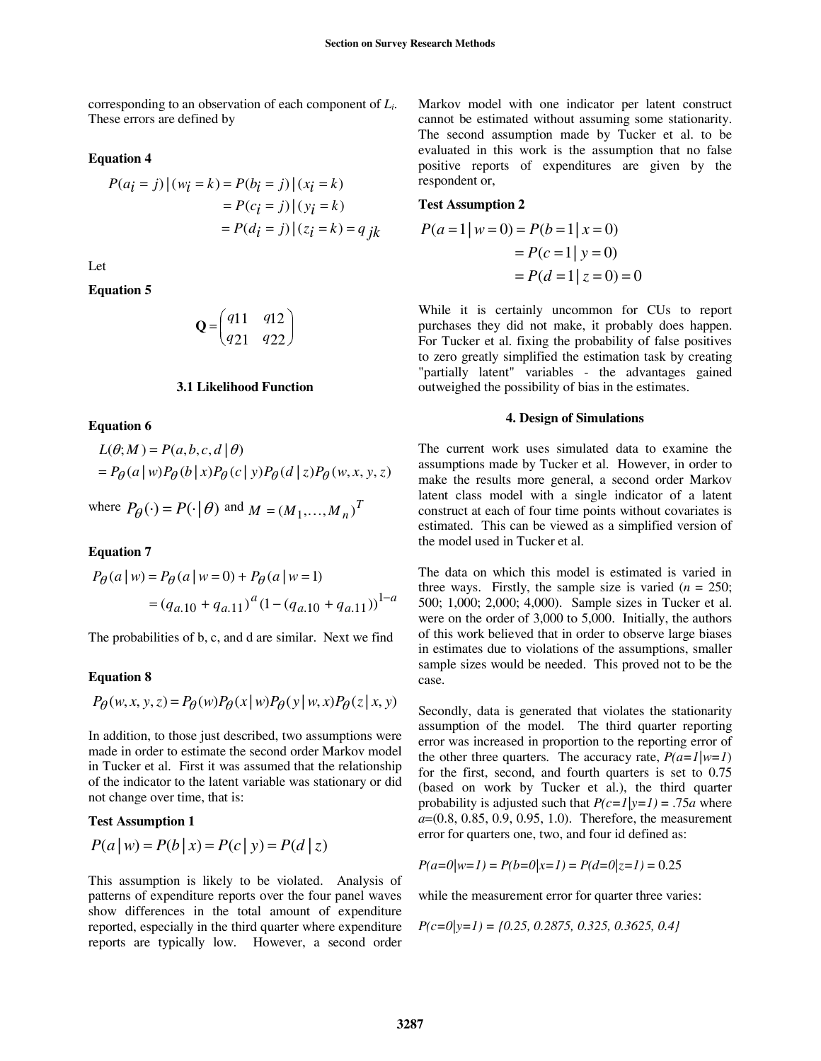corresponding to an observation of each component of *Li*. These errors are defined by

### **Equation 4**

$$
P(a_i = j) | (w_i = k) = P(b_i = j) | (x_i = k)
$$
  
=  $P(c_i = j) | (y_i = k)$   
=  $P(d_i = j) | (z_i = k) = q jk$ 

Let

**Equation 5** 

$$
\mathbf{Q} = \begin{pmatrix} q_{11} & q_{12} \\ q_{21} & q_{22} \end{pmatrix}
$$

#### **3.1 Likelihood Function**

### **Equation 6**

$$
L(\theta; M) = P(a, b, c, d | \theta)
$$
  
=  $P_{\theta}(a | w)P_{\theta}(b | x)P_{\theta}(c | y)P_{\theta}(d | z)P_{\theta}(w, x, y, z)$ 

where  $P_{\theta}(\cdot) = P(\cdot | \theta)$  and  $M = (M_1, ..., M_n)^T$ 

## **Equation 7**

$$
P_{\theta}(a \mid w) = P_{\theta}(a \mid w = 0) + P_{\theta}(a \mid w = 1)
$$
  
=  $(q_{a.10} + q_{a.11})^a (1 - (q_{a.10} + q_{a.11}))^{1-a}$ 

The probabilities of b, c, and d are similar. Next we find

#### **Equation 8**

$$
P_{\theta}(w, x, y, z) = P_{\theta}(w)P_{\theta}(x | w)P_{\theta}(y | w, x)P_{\theta}(z | x, y)
$$

In addition, to those just described, two assumptions were made in order to estimate the second order Markov model in Tucker et al. First it was assumed that the relationship of the indicator to the latent variable was stationary or did not change over time, that is:

#### **Test Assumption 1**

$$
P(a | w) = P(b | x) = P(c | y) = P(d | z)
$$

This assumption is likely to be violated. Analysis of patterns of expenditure reports over the four panel waves show differences in the total amount of expenditure reported, especially in the third quarter where expenditure reports are typically low. However, a second order

Markov model with one indicator per latent construct cannot be estimated without assuming some stationarity. The second assumption made by Tucker et al. to be evaluated in this work is the assumption that no false positive reports of expenditures are given by the respondent or,

### **Test Assumption 2**

$$
P(a=1|w=0) = P(b=1|x=0)
$$
  
=  $P(c=1|y=0)$   
=  $P(d=1|z=0) = 0$ 

While it is certainly uncommon for CUs to report purchases they did not make, it probably does happen. For Tucker et al. fixing the probability of false positives to zero greatly simplified the estimation task by creating "partially latent" variables - the advantages gained outweighed the possibility of bias in the estimates.

#### **4. Design of Simulations**

The current work uses simulated data to examine the assumptions made by Tucker et al. However, in order to make the results more general, a second order Markov latent class model with a single indicator of a latent construct at each of four time points without covariates is estimated. This can be viewed as a simplified version of the model used in Tucker et al.

The data on which this model is estimated is varied in three ways. Firstly, the sample size is varied  $(n = 250;$ 500; 1,000; 2,000; 4,000). Sample sizes in Tucker et al. were on the order of 3,000 to 5,000. Initially, the authors of this work believed that in order to observe large biases in estimates due to violations of the assumptions, smaller sample sizes would be needed. This proved not to be the case.

Secondly, data is generated that violates the stationarity assumption of the model. The third quarter reporting error was increased in proportion to the reporting error of the other three quarters. The accuracy rate,  $P(a=1|w=1)$ for the first, second, and fourth quarters is set to 0.75 (based on work by Tucker et al.), the third quarter probability is adjusted such that  $P(c=1|y=1) = .75a$  where *a*=(0.8, 0.85, 0.9, 0.95, 1.0). Therefore, the measurement error for quarters one, two, and four id defined as:

$$
P(a=0|w=1) = P(b=0|x=1) = P(d=0|z=1) = 0.25
$$

while the measurement error for quarter three varies:

$$
P(c=0|y=1) = \{0.25, 0.2875, 0.325, 0.3625, 0.4\}
$$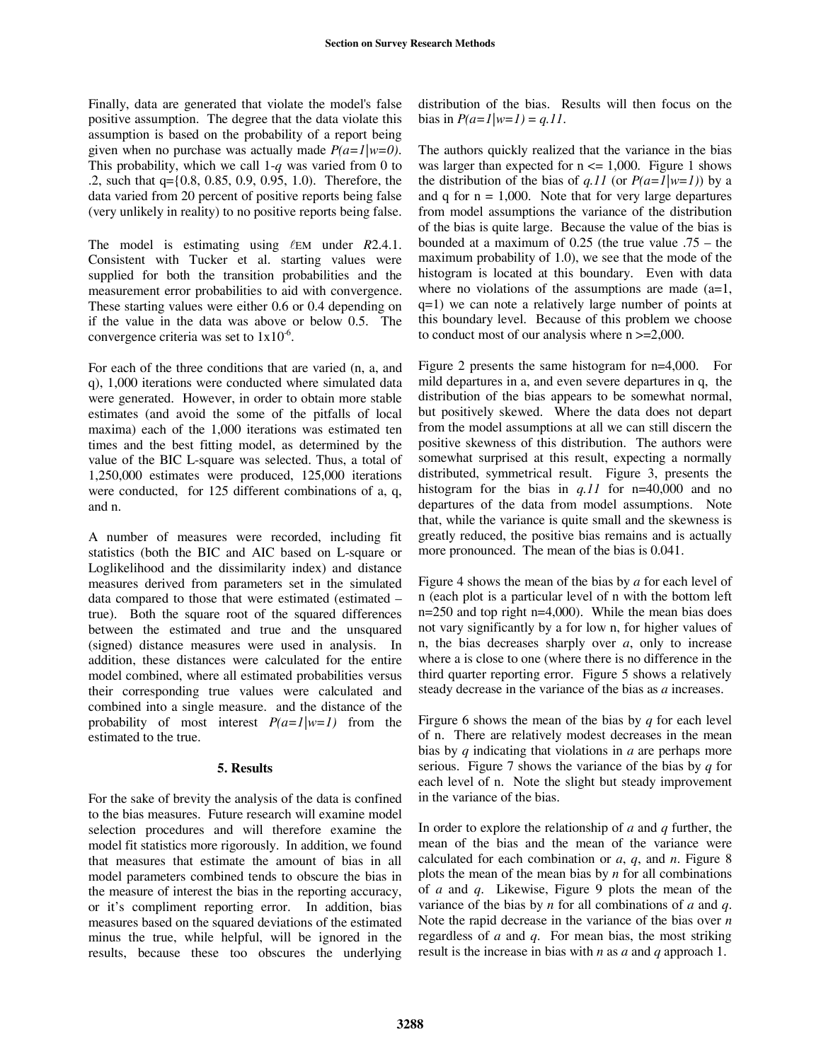Finally, data are generated that violate the model's false positive assumption. The degree that the data violate this assumption is based on the probability of a report being given when no purchase was actually made *P(a=1|w=0)*. This probability, which we call 1-*q* was varied from 0 to .2, such that q={0.8, 0.85, 0.9, 0.95, 1.0). Therefore, the data varied from 20 percent of positive reports being false (very unlikely in reality) to no positive reports being false.

The model is estimating using  $\ell$ EM under *R*2.4.1. Consistent with Tucker et al. starting values were supplied for both the transition probabilities and the measurement error probabilities to aid with convergence. These starting values were either 0.6 or 0.4 depending on if the value in the data was above or below 0.5. The convergence criteria was set to  $1x10^{-6}$ .

For each of the three conditions that are varied (n, a, and q), 1,000 iterations were conducted where simulated data were generated. However, in order to obtain more stable estimates (and avoid the some of the pitfalls of local maxima) each of the 1,000 iterations was estimated ten times and the best fitting model, as determined by the value of the BIC L-square was selected. Thus, a total of 1,250,000 estimates were produced, 125,000 iterations were conducted, for 125 different combinations of a, q, and n.

A number of measures were recorded, including fit statistics (both the BIC and AIC based on L-square or Loglikelihood and the dissimilarity index) and distance measures derived from parameters set in the simulated data compared to those that were estimated  $-\alpha$ true). Both the square root of the squared differences between the estimated and true and the unsquared (signed) distance measures were used in analysis. In addition, these distances were calculated for the entire model combined, where all estimated probabilities versus their corresponding true values were calculated and combined into a single measure. and the distance of the probability of most interest  $P(a=1|w=1)$  from the estimated to the true.

## **5. Results**

For the sake of brevity the analysis of the data is confined to the bias measures. Future research will examine model selection procedures and will therefore examine the model fit statistics more rigorously. In addition, we found that measures that estimate the amount of bias in all model parameters combined tends to obscure the bias in the measure of interest the bias in the reporting accuracy, or it's compliment reporting error. In addition, bias measures based on the squared deviations of the estimated minus the true, while helpful, will be ignored in the results, because these too obscures the underlying

distribution of the bias. Results will then focus on the bias in  $P(a=1|w=1) = q.11$ .

The authors quickly realized that the variance in the bias was larger than expected for  $n \leq 1,000$ . Figure 1 shows the distribution of the bias of *q.11* (or  $P(a=1|w=1)$ ) by a and q for  $n = 1,000$ . Note that for very large departures from model assumptions the variance of the distribution of the bias is quite large. Because the value of the bias is bounded at a maximum of  $0.25$  (the true value  $.75 -$  the maximum probability of 1.0), we see that the mode of the histogram is located at this boundary. Even with data where no violations of the assumptions are made  $(a=1,$ q=1) we can note a relatively large number of points at this boundary level. Because of this problem we choose to conduct most of our analysis where  $n \ge 2,000$ .

Figure 2 presents the same histogram for n=4,000. For mild departures in a, and even severe departures in q, the distribution of the bias appears to be somewhat normal, but positively skewed. Where the data does not depart from the model assumptions at all we can still discern the positive skewness of this distribution. The authors were somewhat surprised at this result, expecting a normally distributed, symmetrical result. Figure 3, presents the histogram for the bias in *q.11* for n=40,000 and no departures of the data from model assumptions. Note that, while the variance is quite small and the skewness is greatly reduced, the positive bias remains and is actually more pronounced. The mean of the bias is 0.041.

Figure 4 shows the mean of the bias by *a* for each level of n (each plot is a particular level of n with the bottom left n=250 and top right n=4,000). While the mean bias does not vary significantly by a for low n, for higher values of n, the bias decreases sharply over *a*, only to increase where a is close to one (where there is no difference in the third quarter reporting error. Figure 5 shows a relatively steady decrease in the variance of the bias as *a* increases.

Firgure 6 shows the mean of the bias by *q* for each level of n. There are relatively modest decreases in the mean bias by *q* indicating that violations in *a* are perhaps more serious. Figure 7 shows the variance of the bias by *q* for each level of n. Note the slight but steady improvement in the variance of the bias.

In order to explore the relationship of *a* and *q* further, the mean of the bias and the mean of the variance were calculated for each combination or *a*, *q*, and *n*. Figure 8 plots the mean of the mean bias by *n* for all combinations of *a* and *q*. Likewise, Figure 9 plots the mean of the variance of the bias by *n* for all combinations of *a* and *q*. Note the rapid decrease in the variance of the bias over *n* regardless of *a* and *q*. For mean bias, the most striking result is the increase in bias with *n* as *a* and *q* approach 1.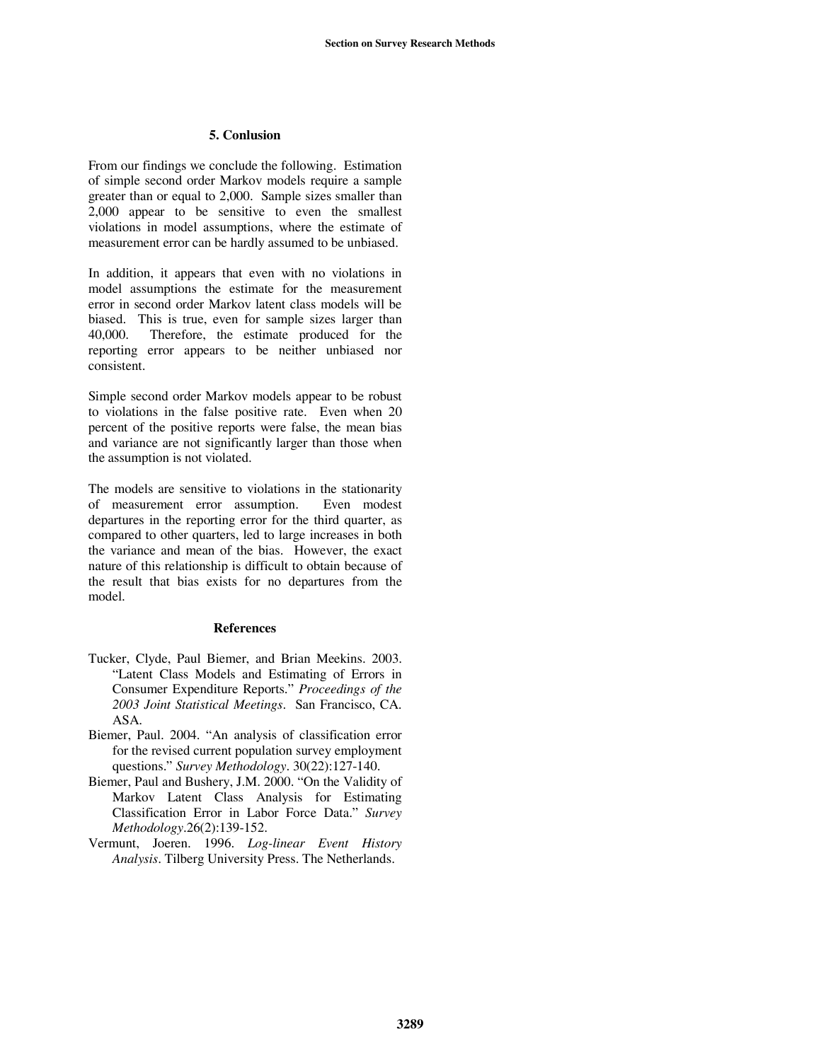## **5. Conlusion**

From our findings we conclude the following. Estimation of simple second order Markov models require a sample greater than or equal to 2,000. Sample sizes smaller than 2,000 appear to be sensitive to even the smallest violations in model assumptions, where the estimate of measurement error can be hardly assumed to be unbiased.

In addition, it appears that even with no violations in model assumptions the estimate for the measurement error in second order Markov latent class models will be biased. This is true, even for sample sizes larger than 40,000. Therefore, the estimate produced for the reporting error appears to be neither unbiased nor consistent.

Simple second order Markov models appear to be robust to violations in the false positive rate. Even when 20 percent of the positive reports were false, the mean bias and variance are not significantly larger than those when the assumption is not violated.

The models are sensitive to violations in the stationarity of measurement error assumption. Even modest departures in the reporting error for the third quarter, as compared to other quarters, led to large increases in both the variance and mean of the bias. However, the exact nature of this relationship is difficult to obtain because of the result that bias exists for no departures from the model.

## **References**

- Tucker, Clyde, Paul Biemer, and Brian Meekins. 2003. ìLatent Class Models and Estimating of Errors in Consumer Expenditure Reports.î *Proceedings of the 2003 Joint Statistical Meetings*. San Francisco, CA. ASA.
- Biemer, Paul. 2004. "An analysis of classification error for the revised current population survey employment questions.î *Survey Methodology*. 30(22):127-140.
- Biemer, Paul and Bushery, J.M. 2000. "On the Validity of Markov Latent Class Analysis for Estimating Classification Error in Labor Force Data.î *Survey Methodology*.26(2):139-152.
- Vermunt, Joeren. 1996. *Log-linear Event History Analysis*. Tilberg University Press. The Netherlands.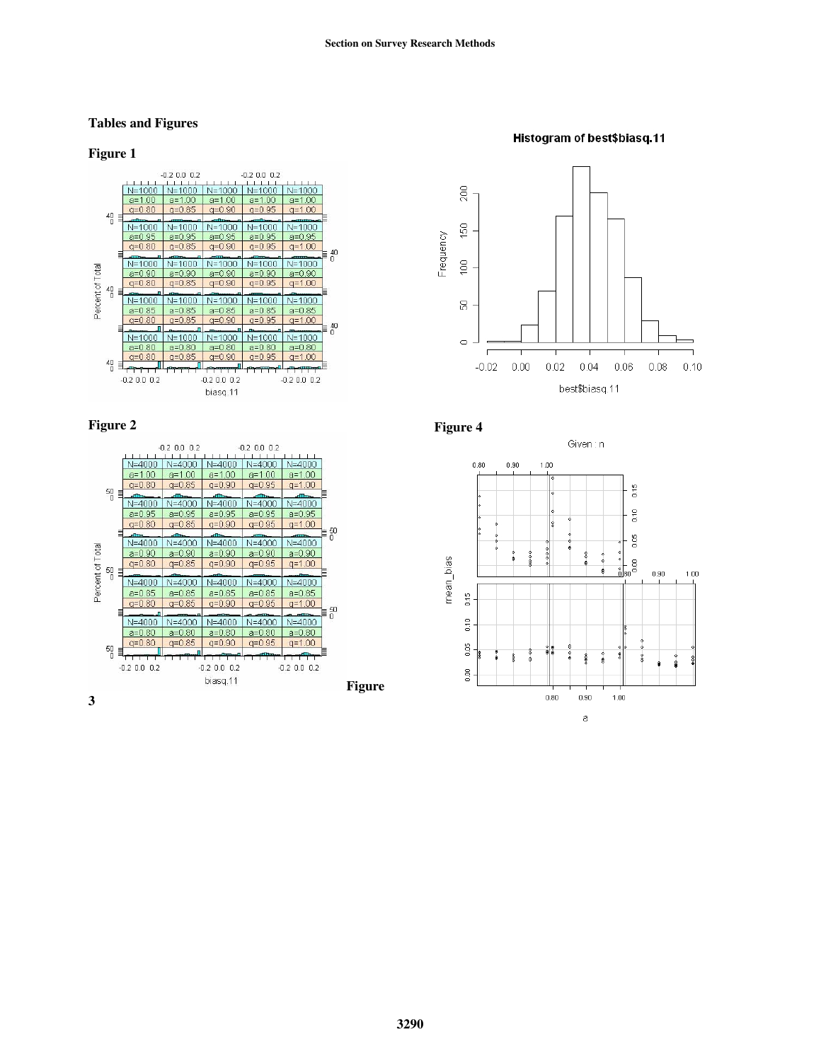# **Tables and Figures**

## **Figure 1**













## Histogram of best\$biasq.11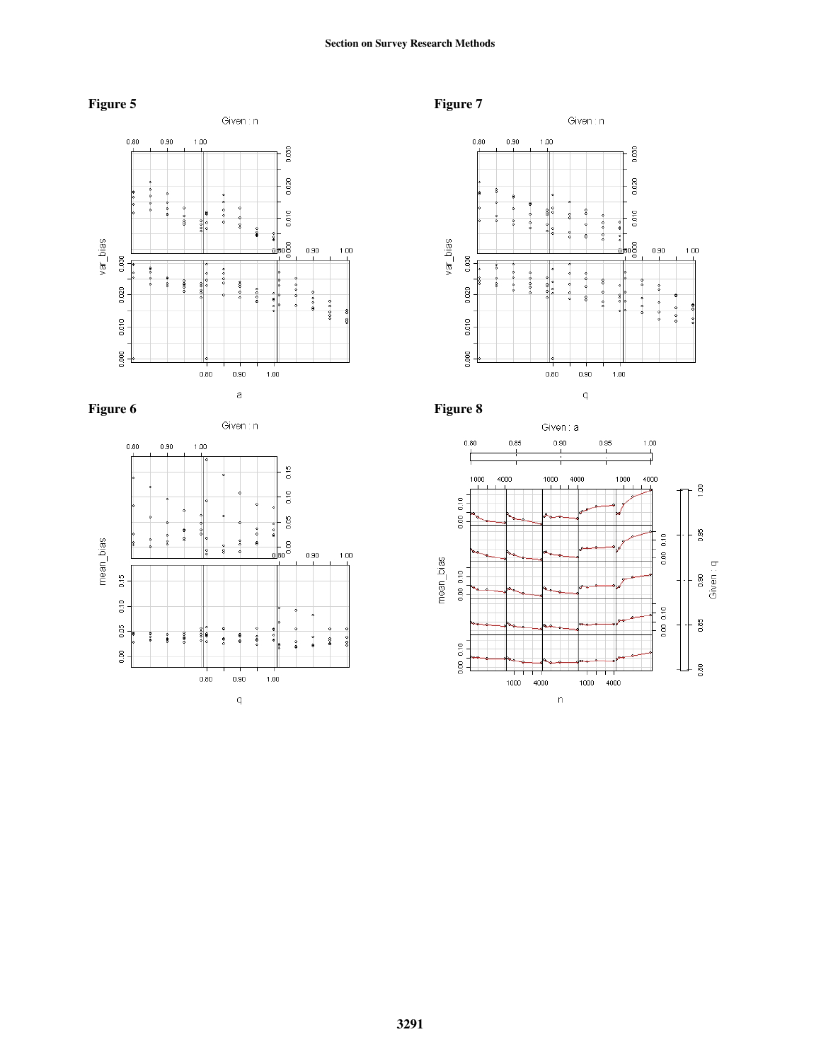# **Section on Survey Research Methods**











**Figure 7**